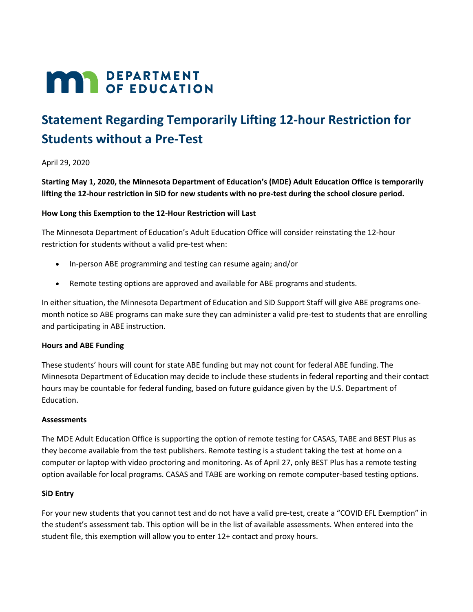# **MAR** DEPARTMENT

## **Statement Regarding Temporarily Lifting 12-hour Restriction for Students without a Pre-Test**

April 29, 2020

**Starting May 1, 2020, the Minnesota Department of Education's (MDE) Adult Education Office is temporarily lifting the 12-hour restriction in SiD for new students with no pre-test during the school closure period.**

#### **How Long this Exemption to the 12-Hour Restriction will Last**

The Minnesota Department of Education's Adult Education Office will consider reinstating the 12-hour restriction for students without a valid pre-test when:

- In-person ABE programming and testing can resume again; and/or
- Remote testing options are approved and available for ABE programs and students.

In either situation, the Minnesota Department of Education and SiD Support Staff will give ABE programs onemonth notice so ABE programs can make sure they can administer a valid pre-test to students that are enrolling and participating in ABE instruction.

#### **Hours and ABE Funding**

These students' hours will count for state ABE funding but may not count for federal ABE funding. The Minnesota Department of Education may decide to include these students in federal reporting and their contact hours may be countable for federal funding, based on future guidance given by the U.S. Department of Education.

#### **Assessments**

The MDE Adult Education Office is supporting the option of remote testing for CASAS, TABE and BEST Plus as they become available from the test publishers. Remote testing is a student taking the test at home on a computer or laptop with video proctoring and monitoring. As of April 27, only BEST Plus has a remote testing option available for local programs. CASAS and TABE are working on remote computer-based testing options.

#### **SiD Entry**

For your new students that you cannot test and do not have a valid pre-test, create a "COVID EFL Exemption" in the student's assessment tab. This option will be in the list of available assessments. When entered into the student file, this exemption will allow you to enter 12+ contact and proxy hours.